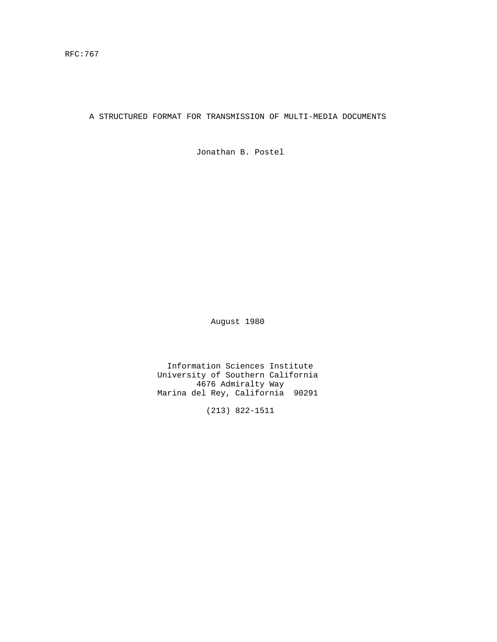A STRUCTURED FORMAT FOR TRANSMISSION OF MULTI-MEDIA DOCUMENTS

Jonathan B. Postel

August 1980

 Information Sciences Institute University of Southern California 4676 Admiralty Way Marina del Rey, California 90291

(213) 822-1511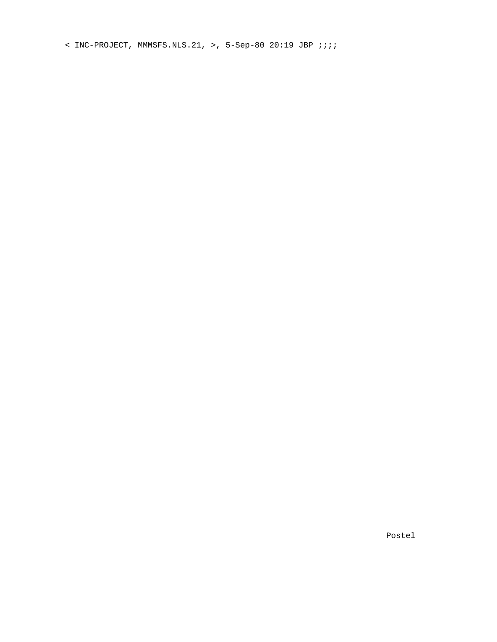< INC-PROJECT, MMMSFS.NLS.21, >, 5-Sep-80 20:19 JBP ;;;;

Postel and the contract of the contract of the contract of the contract of the contract of the contract of the contract of the contract of the contract of the contract of the contract of the contract of the contract of the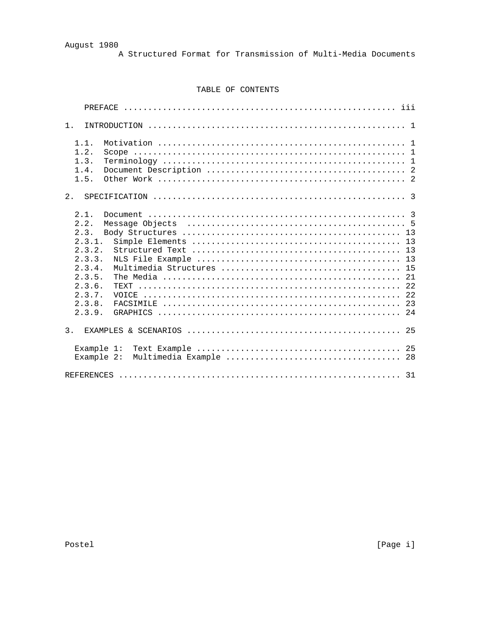# TABLE OF CONTENTS

| $1$ .                                                                                                          |                          |
|----------------------------------------------------------------------------------------------------------------|--------------------------|
| 1.1.<br>1.2.<br>1.3.<br>1.4.<br>1.5.                                                                           |                          |
| 2.                                                                                                             |                          |
| 2.1.<br>2.2.<br>2.3.<br>2.3.1.<br>2.3.2.<br>2.3.3.<br>2.3.4.<br>2.3.5.<br>2.3.6.<br>2.3.7.<br>2.3.8.<br>2.3.9. | 13<br>22<br>TEXT         |
| 3.                                                                                                             |                          |
|                                                                                                                | Example 1:<br>Example 2: |
|                                                                                                                |                          |

Postel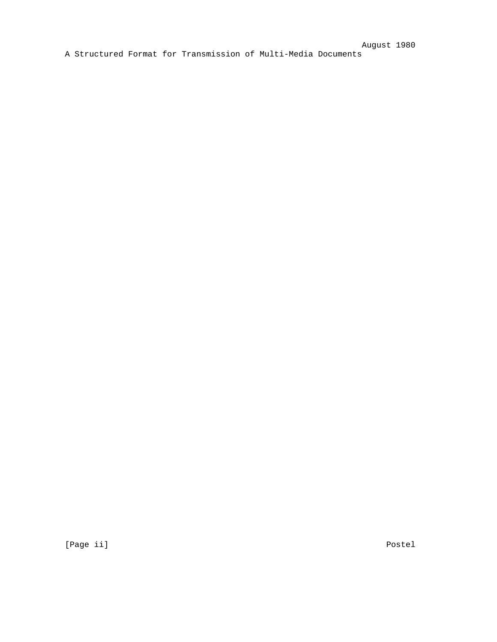[Page ii] Postel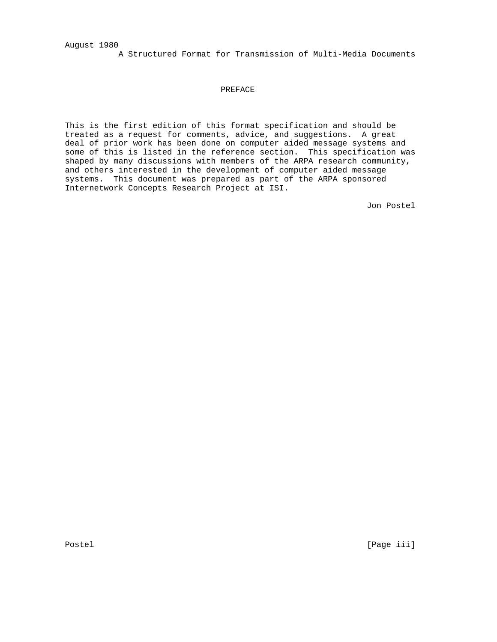## PREFACE

This is the first edition of this format specification and should be treated as a request for comments, advice, and suggestions. A great deal of prior work has been done on computer aided message systems and some of this is listed in the reference section. This specification was shaped by many discussions with members of the ARPA research community, and others interested in the development of computer aided message systems. This document was prepared as part of the ARPA sponsored Internetwork Concepts Research Project at ISI.

Jon Postel

Postel [Page iii]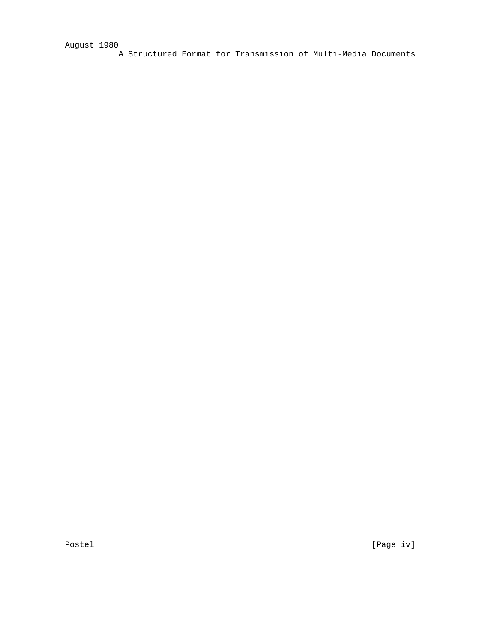Postel [Page iv]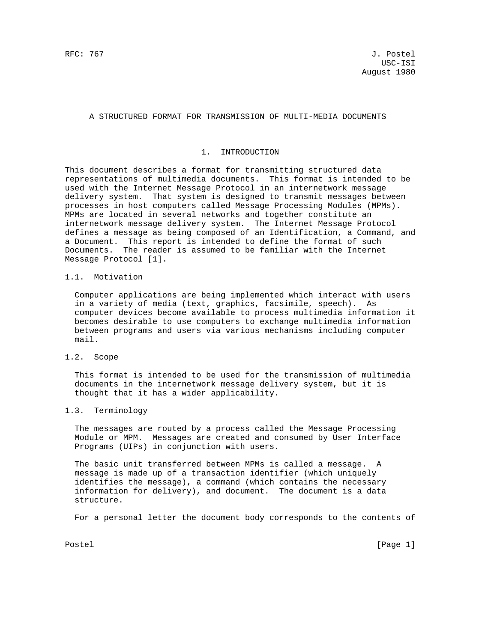# A STRUCTURED FORMAT FOR TRANSMISSION OF MULTI-MEDIA DOCUMENTS

## 1. INTRODUCTION

This document describes a format for transmitting structured data representations of multimedia documents. This format is intended to be used with the Internet Message Protocol in an internetwork message delivery system. That system is designed to transmit messages between processes in host computers called Message Processing Modules (MPMs). MPMs are located in several networks and together constitute an internetwork message delivery system. The Internet Message Protocol defines a message as being composed of an Identification, a Command, and a Document. This report is intended to define the format of such Documents. The reader is assumed to be familiar with the Internet Message Protocol [1].

## 1.1. Motivation

 Computer applications are being implemented which interact with users in a variety of media (text, graphics, facsimile, speech). As computer devices become available to process multimedia information it becomes desirable to use computers to exchange multimedia information between programs and users via various mechanisms including computer mail.

## 1.2. Scope

 This format is intended to be used for the transmission of multimedia documents in the internetwork message delivery system, but it is thought that it has a wider applicability.

## 1.3. Terminology

 The messages are routed by a process called the Message Processing Module or MPM. Messages are created and consumed by User Interface Programs (UIPs) in conjunction with users.

 The basic unit transferred between MPMs is called a message. A message is made up of a transaction identifier (which uniquely identifies the message), a command (which contains the necessary information for delivery), and document. The document is a data structure.

For a personal letter the document body corresponds to the contents of

Postel [Page 1] [Page 1]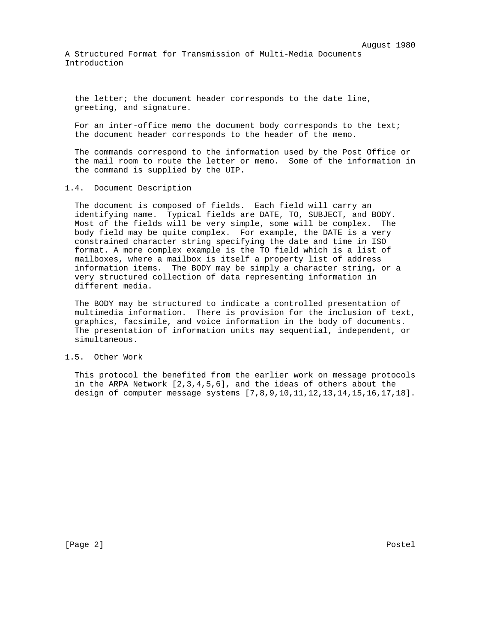August 1980 A Structured Format for Transmission of Multi-Media Documents Introduction

 the letter; the document header corresponds to the date line, greeting, and signature.

For an inter-office memo the document body corresponds to the text; the document header corresponds to the header of the memo.

 The commands correspond to the information used by the Post Office or the mail room to route the letter or memo. Some of the information in the command is supplied by the UIP.

1.4. Document Description

 The document is composed of fields. Each field will carry an identifying name. Typical fields are DATE, TO, SUBJECT, and BODY. Most of the fields will be very simple, some will be complex. The body field may be quite complex. For example, the DATE is a very constrained character string specifying the date and time in ISO format. A more complex example is the TO field which is a list of mailboxes, where a mailbox is itself a property list of address information items. The BODY may be simply a character string, or a very structured collection of data representing information in different media.

 The BODY may be structured to indicate a controlled presentation of multimedia information. There is provision for the inclusion of text, graphics, facsimile, and voice information in the body of documents. The presentation of information units may sequential, independent, or simultaneous.

## 1.5. Other Work

 This protocol the benefited from the earlier work on message protocols in the ARPA Network [2,3,4,5,6], and the ideas of others about the design of computer message systems [7,8,9,10,11,12,13,14,15,16,17,18].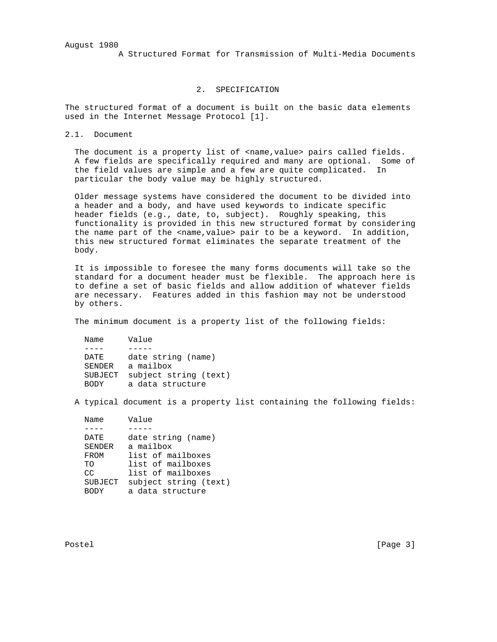### 2. SPECIFICATION

The structured format of a document is built on the basic data elements used in the Internet Message Protocol [1].

2.1. Document

The document is a property list of <name, value> pairs called fields. A few fields are specifically required and many are optional. Some of the field values are simple and a few are quite complicated. In particular the body value may be highly structured.

 Older message systems have considered the document to be divided into a header and a body, and have used keywords to indicate specific header fields (e.g., date, to, subject). Roughly speaking, this functionality is provided in this new structured format by considering the name part of the <name, value> pair to be a keyword. In addition, this new structured format eliminates the separate treatment of the body.

 It is impossible to foresee the many forms documents will take so the standard for a document header must be flexible. The approach here is to define a set of basic fields and allow addition of whatever fields are necessary. Features added in this fashion may not be understood by others.

The minimum document is a property list of the following fields:

 Name Value ---- ----- DATE date string (name) SENDER a mailbox SUBJECT subject string (text) BODY a data structure

A typical document is a property list containing the following fields:

| Name           | Value                 |
|----------------|-----------------------|
|                |                       |
| DATE           | date string (name)    |
| <b>SENDER</b>  | a mailbox             |
| FROM           | list of mailboxes     |
| TO             | list of mailboxes     |
| CC             | list of mailboxes     |
| <b>SUBJECT</b> | subject string (text) |
|                | a data structure      |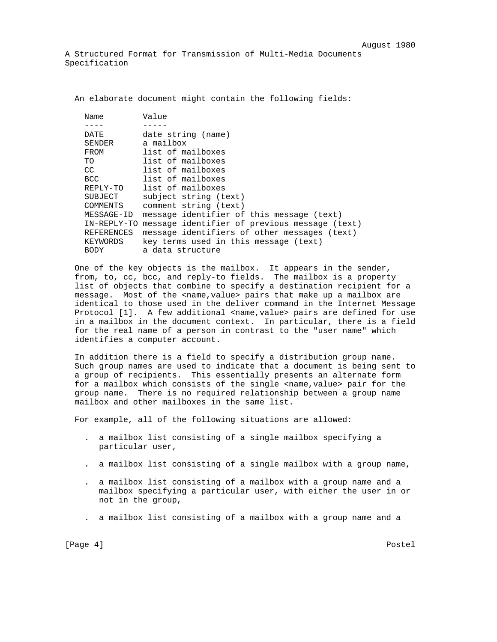An elaborate document might contain the following fields:

| Name        | Value                                         |
|-------------|-----------------------------------------------|
|             |                                               |
| DATE        | date string (name)                            |
| SENDER      | a mailbox                                     |
| FROM        | list of mailboxes                             |
| TO          | list of mailboxes                             |
| CC          | list of mailboxes                             |
| <b>BCC</b>  | list of mailboxes                             |
| REPLY-TO    | list of mailboxes                             |
| SUBJECT     | subject string (text)                         |
| COMMENTS    | comment string (text)                         |
| MESSAGE-ID  | message identifier of this message (text)     |
| IN-REPLY-TO | message identifier of previous message (text) |
| REFERENCES  | message identifiers of other messages (text)  |
| KEYWORDS    | key terms used in this message (text)         |
| <b>BODY</b> | a data structure                              |

 One of the key objects is the mailbox. It appears in the sender, from, to, cc, bcc, and reply-to fields. The mailbox is a property list of objects that combine to specify a destination recipient for a message. Most of the <name, value> pairs that make up a mailbox are identical to those used in the deliver command in the Internet Message Protocol [1]. A few additional <name, value> pairs are defined for use in a mailbox in the document context. In particular, there is a field for the real name of a person in contrast to the "user name" which identifies a computer account.

 In addition there is a field to specify a distribution group name. Such group names are used to indicate that a document is being sent to a group of recipients. This essentially presents an alternate form for a mailbox which consists of the single <name, value> pair for the group name. There is no required relationship between a group name mailbox and other mailboxes in the same list.

For example, all of the following situations are allowed:

- . a mailbox list consisting of a single mailbox specifying a particular user,
- . a mailbox list consisting of a single mailbox with a group name,
- . a mailbox list consisting of a mailbox with a group name and a mailbox specifying a particular user, with either the user in or not in the group,
- . a mailbox list consisting of a mailbox with a group name and a

[Page 4] Postel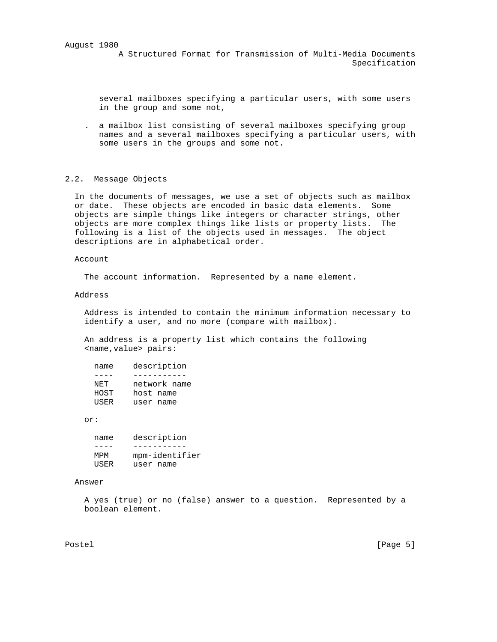several mailboxes specifying a particular users, with some users in the group and some not,

 . a mailbox list consisting of several mailboxes specifying group names and a several mailboxes specifying a particular users, with some users in the groups and some not.

### 2.2. Message Objects

 In the documents of messages, we use a set of objects such as mailbox or date. These objects are encoded in basic data elements. Some objects are simple things like integers or character strings, other objects are more complex things like lists or property lists. The following is a list of the objects used in messages. The object descriptions are in alphabetical order.

Account

The account information. Represented by a name element.

Address

 Address is intended to contain the minimum information necessary to identify a user, and no more (compare with mailbox).

 An address is a property list which contains the following <name,value> pairs:

| name   | description  |
|--------|--------------|
|        |              |
| NET.   | network name |
| HOST   | host name    |
| IISER. | user name    |

or:

| name        | description    |
|-------------|----------------|
|             |                |
| <b>MPM</b>  | mpm-identifier |
| <b>USER</b> | user name      |

### Answer

 A yes (true) or no (false) answer to a question. Represented by a boolean element.

Postel [Page 5]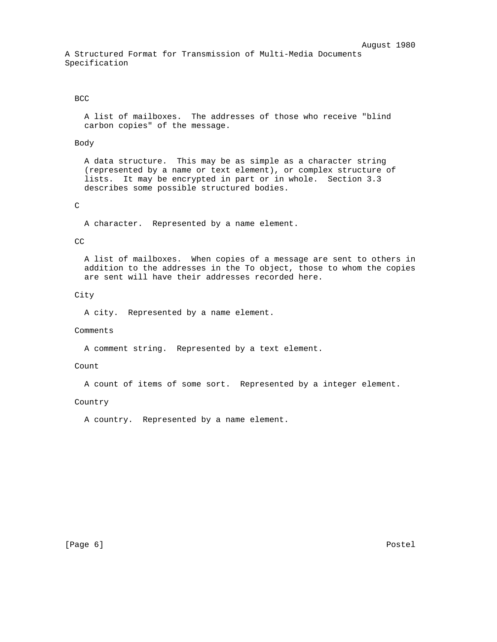# BCC

 A list of mailboxes. The addresses of those who receive "blind carbon copies" of the message.

Body

 A data structure. This may be as simple as a character string (represented by a name or text element), or complex structure of lists. It may be encrypted in part or in whole. Section 3.3 describes some possible structured bodies.

### C

A character. Represented by a name element.

### CC

 A list of mailboxes. When copies of a message are sent to others in addition to the addresses in the To object, those to whom the copies are sent will have their addresses recorded here.

## City

A city. Represented by a name element.

## Comments

A comment string. Represented by a text element.

## Count

A count of items of some sort. Represented by a integer element.

#### Country

A country. Represented by a name element.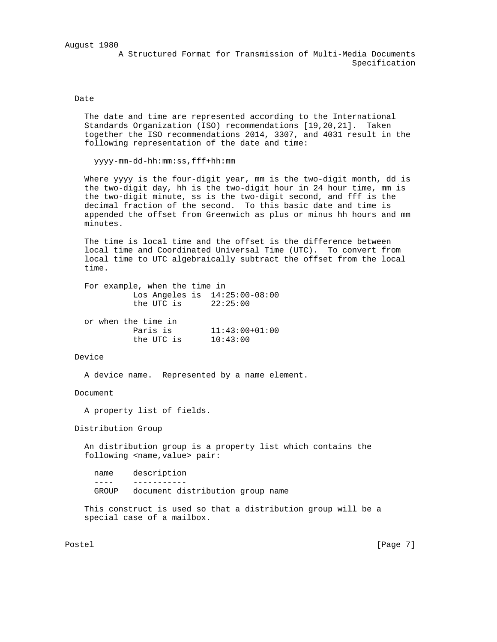## Date

 The date and time are represented according to the International Standards Organization (ISO) recommendations [19,20,21]. Taken together the ISO recommendations 2014, 3307, and 4031 result in the following representation of the date and time:

yyyy-mm-dd-hh:mm:ss,fff+hh:mm

 Where yyyy is the four-digit year, mm is the two-digit month, dd is the two-digit day, hh is the two-digit hour in 24 hour time, mm is the two-digit minute, ss is the two-digit second, and fff is the decimal fraction of the second. To this basic date and time is appended the offset from Greenwich as plus or minus hh hours and mm minutes.

 The time is local time and the offset is the difference between local time and Coordinated Universal Time (UTC). To convert from local time to UTC algebraically subtract the offset from the local time.

| For example, when the time in |                                 |
|-------------------------------|---------------------------------|
|                               | Los Angeles is $14:25:00-08:00$ |
| the UTC is                    | 22:25:00                        |
|                               |                                 |
| or when the time in           |                                 |
| Paris is                      | $11:43:00+01:00$                |
| the UTC is                    | 10:43:00                        |

## Device

A device name. Represented by a name element.

#### Document

A property list of fields.

Distribution Group

 An distribution group is a property list which contains the following <name, value> pair:

 name description ---- -----------

GROUP document distribution group name

 This construct is used so that a distribution group will be a special case of a mailbox.

Postel [Page 7]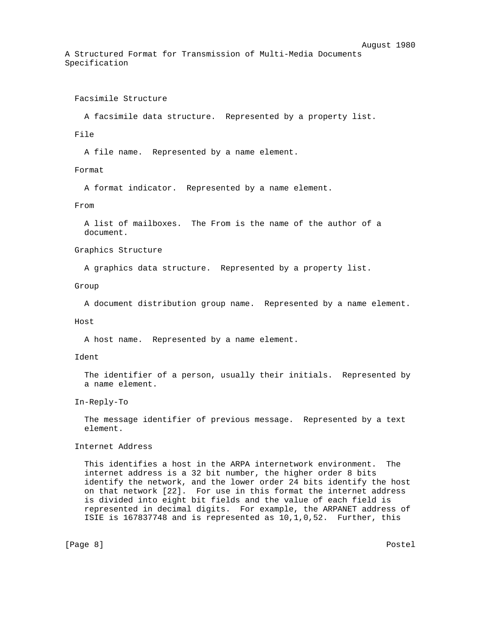Facsimile Structure

A facsimile data structure. Represented by a property list.

File

A file name. Represented by a name element.

Format

A format indicator. Represented by a name element.

From

 A list of mailboxes. The From is the name of the author of a document.

Graphics Structure

A graphics data structure. Represented by a property list.

Group

A document distribution group name. Represented by a name element.

Host

A host name. Represented by a name element.

Ident

 The identifier of a person, usually their initials. Represented by a name element.

In-Reply-To

 The message identifier of previous message. Represented by a text element.

Internet Address

 This identifies a host in the ARPA internetwork environment. The internet address is a 32 bit number, the higher order 8 bits identify the network, and the lower order 24 bits identify the host on that network [22]. For use in this format the internet address is divided into eight bit fields and the value of each field is represented in decimal digits. For example, the ARPANET address of ISIE is 167837748 and is represented as 10,1,0,52. Further, this

[Page 8] Postel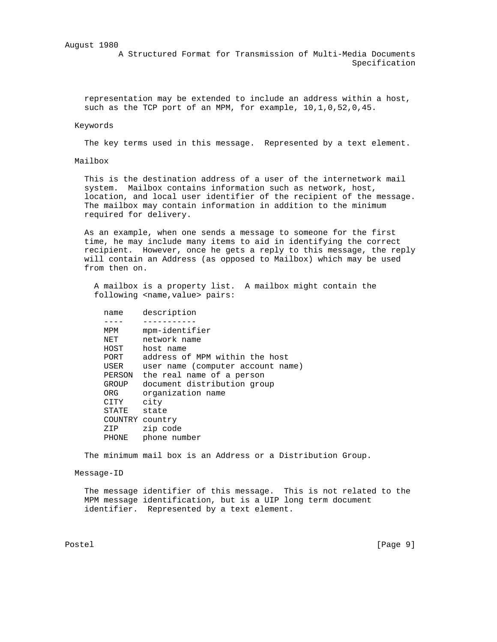representation may be extended to include an address within a host, such as the TCP port of an MPM, for example, 10,1,0,52,0,45.

#### Keywords

The key terms used in this message. Represented by a text element.

## Mailbox

 This is the destination address of a user of the internetwork mail system. Mailbox contains information such as network, host, location, and local user identifier of the recipient of the message. The mailbox may contain information in addition to the minimum required for delivery.

 As an example, when one sends a message to someone for the first time, he may include many items to aid in identifying the correct recipient. However, once he gets a reply to this message, the reply will contain an Address (as opposed to Mailbox) which may be used from then on.

 A mailbox is a property list. A mailbox might contain the following <name, value> pairs:

| name    | description                       |
|---------|-----------------------------------|
|         |                                   |
| MPM     | mpm-identifier                    |
| NET     | network name                      |
| HOST    | host name                         |
| PORT    | address of MPM within the host    |
| USER    | user name (computer account name) |
| PERSON  | the real name of a person         |
| GROUP   | document distribution group       |
| ORG     | organization name                 |
| CITY    | city                              |
| STATE   | state                             |
| COUNTRY | country                           |
| ZIP     | zip code                          |
| PHONE   | phone number                      |

The minimum mail box is an Address or a Distribution Group.

### Message-ID

 The message identifier of this message. This is not related to the MPM message identification, but is a UIP long term document identifier. Represented by a text element.

Postel [Page 9]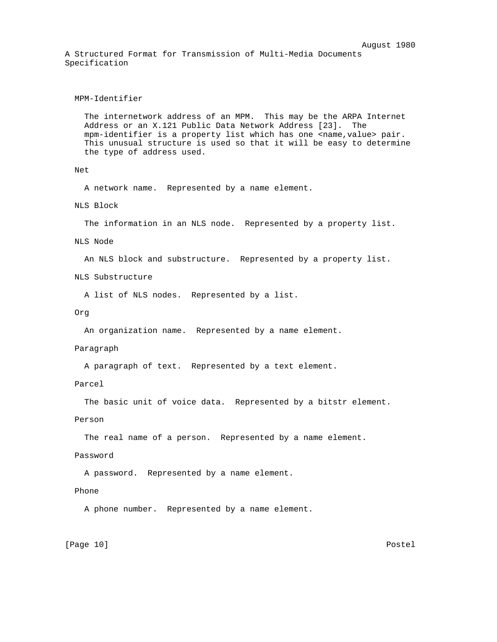MPM-Identifier

 The internetwork address of an MPM. This may be the ARPA Internet Address or an X.121 Public Data Network Address [23]. The mpm-identifier is a property list which has one <name, value> pair. This unusual structure is used so that it will be easy to determine the type of address used.

Net

A network name. Represented by a name element.

NLS Block

The information in an NLS node. Represented by a property list.

NLS Node

An NLS block and substructure. Represented by a property list.

NLS Substructure

A list of NLS nodes. Represented by a list.

Org

An organization name. Represented by a name element.

## Paragraph

A paragraph of text. Represented by a text element.

Parcel

The basic unit of voice data. Represented by a bitstr element.

Person

The real name of a person. Represented by a name element.

### Password

A password. Represented by a name element.

## Phone

A phone number. Represented by a name element.

[Page 10] Postel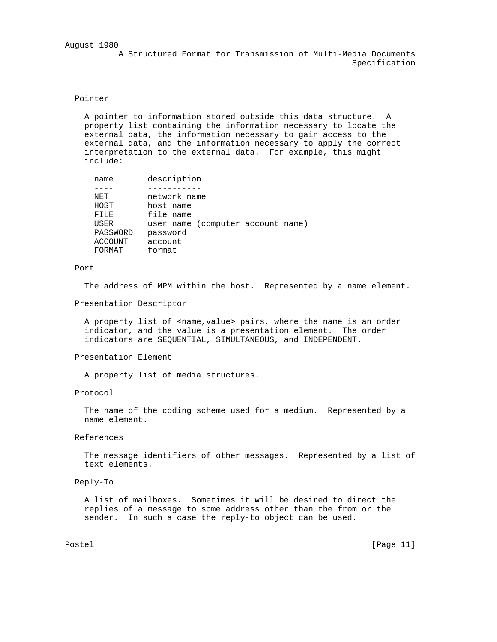## Pointer

 A pointer to information stored outside this data structure. A property list containing the information necessary to locate the external data, the information necessary to gain access to the external data, and the information necessary to apply the correct interpretation to the external data. For example, this might include:

| name           | description                       |
|----------------|-----------------------------------|
|                |                                   |
| NF.T           | network name                      |
| HOST           | host name                         |
| FILE           | file name                         |
| USER           | user name (computer account name) |
| PASSWORD       | password                          |
| <b>ACCOUNT</b> | account                           |
| FORMAT         | format                            |
|                |                                   |

### Port

The address of MPM within the host. Represented by a name element.

### Presentation Descriptor

 A property list of <name,value> pairs, where the name is an order indicator, and the value is a presentation element. The order indicators are SEQUENTIAL, SIMULTANEOUS, and INDEPENDENT.

## Presentation Element

A property list of media structures.

#### Protocol

 The name of the coding scheme used for a medium. Represented by a name element.

## References

 The message identifiers of other messages. Represented by a list of text elements.

## Reply-To

 A list of mailboxes. Sometimes it will be desired to direct the replies of a message to some address other than the from or the sender. In such a case the reply-to object can be used.

Postel [Page 11]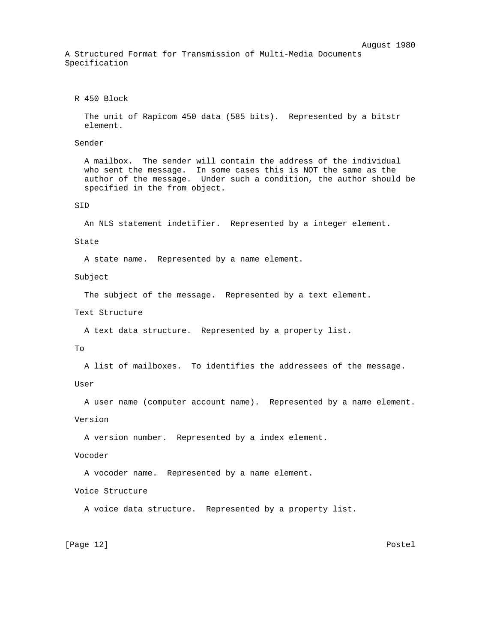R 450 Block

 The unit of Rapicom 450 data (585 bits). Represented by a bitstr element.

Sender

 A mailbox. The sender will contain the address of the individual who sent the message. In some cases this is NOT the same as the author of the message. Under such a condition, the author should be specified in the from object.

SID

An NLS statement indetifier. Represented by a integer element.

State

A state name. Represented by a name element.

Subject

The subject of the message. Represented by a text element.

Text Structure

A text data structure. Represented by a property list.

To

A list of mailboxes. To identifies the addressees of the message.

User

A user name (computer account name). Represented by a name element.

Version

A version number. Represented by a index element.

Vocoder

A vocoder name. Represented by a name element.

Voice Structure

A voice data structure. Represented by a property list.

[Page 12] Postel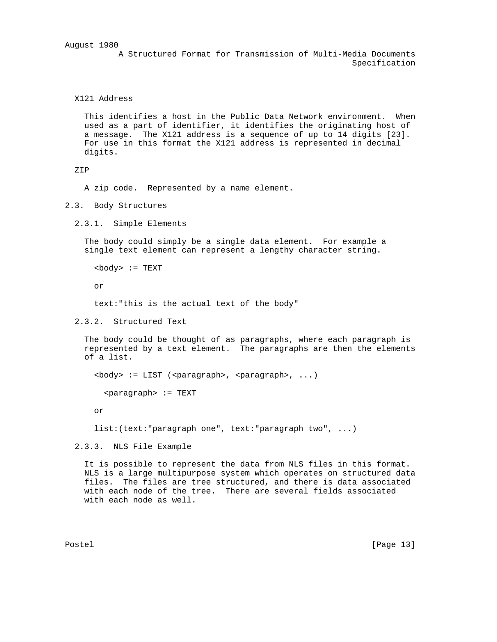X121 Address

 This identifies a host in the Public Data Network environment. When used as a part of identifier, it identifies the originating host of a message. The X121 address is a sequence of up to 14 digits [23]. For use in this format the X121 address is represented in decimal digits.

ZIP

A zip code. Represented by a name element.

2.3. Body Structures

2.3.1. Simple Elements

 The body could simply be a single data element. For example a single text element can represent a lengthy character string.

<body> := TEXT

or

text:"this is the actual text of the body"

2.3.2. Structured Text

 The body could be thought of as paragraphs, where each paragraph is represented by a text element. The paragraphs are then the elements of a list.

<body> := LIST (<paragraph>, <paragraph>, ...)

<paragraph> := TEXT

or

list:(text:"paragraph one", text:"paragraph two", ...)

2.3.3. NLS File Example

 It is possible to represent the data from NLS files in this format. NLS is a large multipurpose system which operates on structured data files. The files are tree structured, and there is data associated with each node of the tree. There are several fields associated with each node as well.

Postel [Page 13]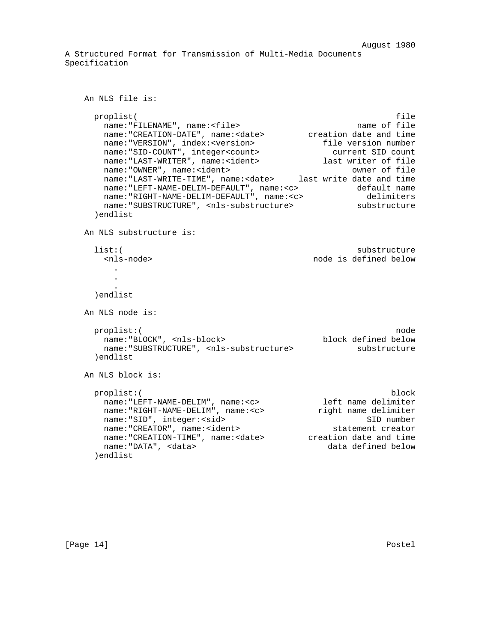```
 An NLS file is:
    proplist( file
 name:"FILENAME", name:<file> name of file
 name:"CREATION-DATE", name:<date> creation date and time
 name:"VERSION", index:<version> file version number
 name:"SID-COUNT", integer<count> current SID count
 name:"LAST-WRITER", name:<ident> last writer of file
 name:"OWNER", name:<ident> owner of file
 name:"LAST-WRITE-TIME", name:<date> last write date and time
 name:"LEFT-NAME-DELIM-DEFAULT", name:<c> default name
 name:"RIGHT-NAME-DELIM-DEFAULT", name:<c> delimiters
name:"SUBSTRUCTURE", <nls-substructure> substructure
    )endlist
   An NLS substructure is:
   list: (Substructure et al., 2016)<br>
\frac{1}{2} substructure
      <nls-node> node is defined below
 .
 .
 .
     )endlist
   An NLS node is:
   proplist: ( node
     name:"BLOCK", <nls-block> block defined below
     name:"SUBSTRUCTURE", <nls-substructure> substructure
    )endlist
   An NLS block is:
 proplist:( block
 name:"LEFT-NAME-DELIM", name:<c> left name delimiter
 name:"RIGHT-NAME-DELIM", name:<c> right name delimiter
name:"SID", integer:<sid> SID number
name: "CREATOR", name:<ident> statement creator
 name:"CREATION-TIME", name:<date> creation date and time
 name:"DATA", <data> data defined below
    )endlist
```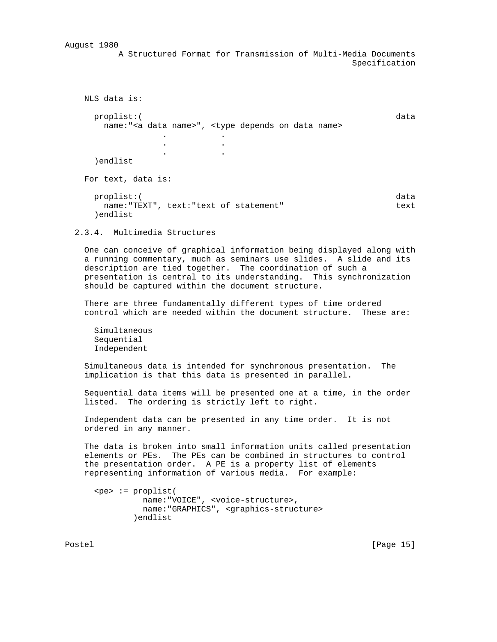NLS data is: proplist:( data name:"<a data name>", <type depends on data name> . . . . . . )endlist For text, data is: proplist:( data name:"TEXT", text:"text of statement" text )endlist

2.3.4. Multimedia Structures

 One can conceive of graphical information being displayed along with a running commentary, much as seminars use slides. A slide and its description are tied together. The coordination of such a presentation is central to its understanding. This synchronization should be captured within the document structure.

 There are three fundamentally different types of time ordered control which are needed within the document structure. These are:

 Simultaneous Sequential Independent

 Simultaneous data is intended for synchronous presentation. The implication is that this data is presented in parallel.

 Sequential data items will be presented one at a time, in the order listed. The ordering is strictly left to right.

 Independent data can be presented in any time order. It is not ordered in any manner.

 The data is broken into small information units called presentation elements or PEs. The PEs can be combined in structures to control the presentation order. A PE is a property list of elements representing information of various media. For example:

```
 <pe> := proplist(
           name:"VOICE", <voice-structure>,
           name:"GRAPHICS", <graphics-structure>
         )endlist
```
Postel [Page 15]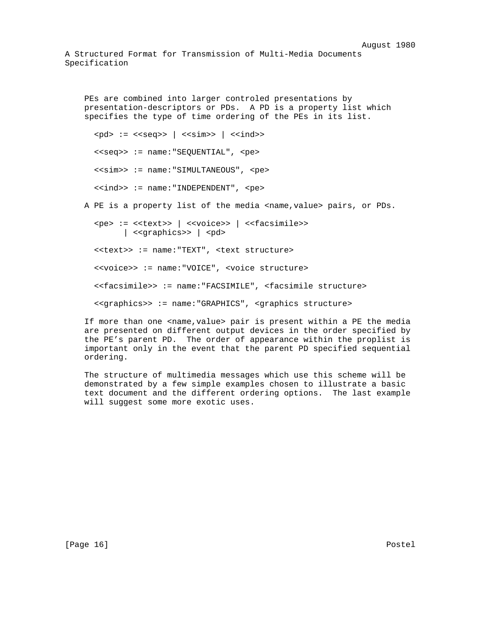PEs are combined into larger controled presentations by presentation-descriptors or PDs. A PD is a property list which specifies the type of time ordering of the PEs in its list.  $<$ pd> :=  $<<$ seq>> |  $<<$ sim>> |  $<<$ ind>> <<seq>> := name:"SEQUENTIAL", <pe> <<sim>> := name:"SIMULTANEOUS", <pe> <<ind>> := name:"INDEPENDENT", <pe> A PE is a property list of the media <name,value> pairs, or PDs. <pe> := <<text>> | <<voice>> | <<facsimile>> | <<graphics>> | <pd> <<text>> := name:"TEXT", <text structure> <<voice>> := name:"VOICE", <voice structure> <<facsimile>> := name:"FACSIMILE", <facsimile structure> <<graphics>> := name:"GRAPHICS", <graphics structure>

If more than one <name, value> pair is present within a PE the media are presented on different output devices in the order specified by the PE's parent PD. The order of appearance within the proplist is important only in the event that the parent PD specified sequential ordering.

 The structure of multimedia messages which use this scheme will be demonstrated by a few simple examples chosen to illustrate a basic text document and the different ordering options. The last example will suggest some more exotic uses.

[Page 16] Postel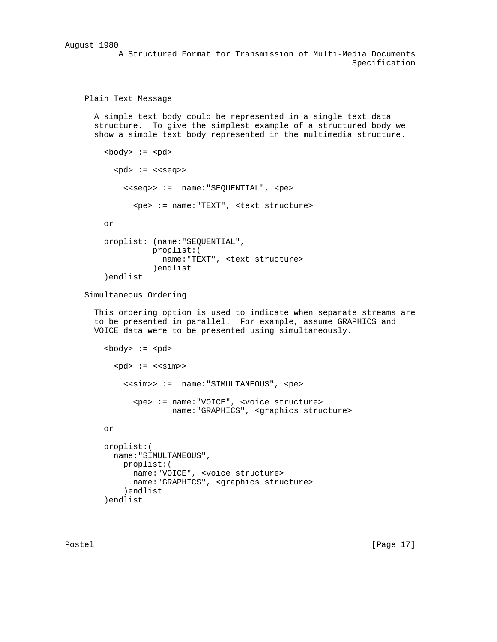Plain Text Message

 A simple text body could be represented in a single text data structure. To give the simplest example of a structured body we show a simple text body represented in the multimedia structure.

 $<$ body>  $:=$   $<$ pd>  $<$ pd> :=  $<$ seq>> <<seq>> := name:"SEQUENTIAL", <pe> <pe> := name:"TEXT", <text structure> or proplist: (name:"SEQUENTIAL",

```
 proplist:(
             name:"TEXT", <text structure>
           )endlist
 )endlist
```
Simultaneous Ordering

 This ordering option is used to indicate when separate streams are to be presented in parallel. For example, assume GRAPHICS and VOICE data were to be presented using simultaneously.

```
<body> := <pd>
  <pd> := <<sim>>
     <<sim>> := name:"SIMULTANEOUS", <pe>
       <pe> := name:"VOICE", <voice structure>
               name:"GRAPHICS", <graphics structure>
 or
 proplist:(
   name:"SIMULTANEOUS",
     proplist:(
```

```
 name:"VOICE", <voice structure>
      name:"GRAPHICS", <graphics structure>
     )endlist
 )endlist
```
Postel [Page 17]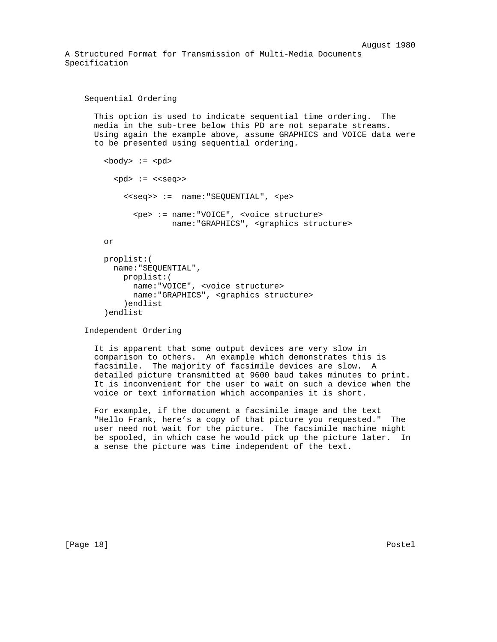```
 Sequential Ordering
   This option is used to indicate sequential time ordering. The
  media in the sub-tree below this PD are not separate streams.
  Using again the example above, assume GRAPHICS and VOICE data were
   to be presented using sequential ordering.
    <body> := <pd>
      <pd> := <seq>>
         <<seq>> := name:"SEQUENTIAL", <pe>
           <pe> := name:"VOICE", <voice structure>
                   name:"GRAPHICS", <graphics structure>
     or
    proplist:(
       name:"SEQUENTIAL",
         proplist:(
           name:"VOICE", <voice structure>
           name:"GRAPHICS", <graphics structure>
         )endlist
     )endlist
```
Independent Ordering

 It is apparent that some output devices are very slow in comparison to others. An example which demonstrates this is facsimile. The majority of facsimile devices are slow. A detailed picture transmitted at 9600 baud takes minutes to print. It is inconvenient for the user to wait on such a device when the voice or text information which accompanies it is short.

 For example, if the document a facsimile image and the text "Hello Frank, here's a copy of that picture you requested." The user need not wait for the picture. The facsimile machine might be spooled, in which case he would pick up the picture later. In a sense the picture was time independent of the text.

[Page 18] Postel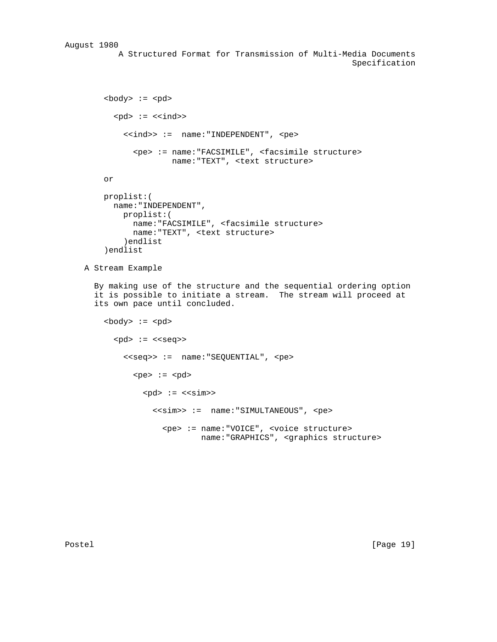```
August 1980 
            A Structured Format for Transmission of Multi-Media Documents
                                                               Specification
        <body> := <pd>
          <pd> := <ind>>
             <<ind>> := name:"INDEPENDENT", <pe>
               <pe> := name:"FACSIMILE", <facsimile structure>
                       name:"TEXT", <text structure>
         or
         proplist:(
          name:"INDEPENDENT",
             proplist:(
               name:"FACSIMILE", <facsimile structure>
               name:"TEXT", <text structure>
             )endlist
         )endlist
     A Stream Example
       By making use of the structure and the sequential ordering option
       it is possible to initiate a stream. The stream will proceed at
       its own pace until concluded.
        \text{body} := \text{ydd}<pd> := <seq>>
             <<seq>> := name:"SEQUENTIAL", <pe>
              <pe> := <pd>
                <pd> := <<sim>>
                   <<sim>> := name:"SIMULTANEOUS", <pe>
                      <pe> := name:"VOICE", <voice structure>
```
name:"GRAPHICS", <graphics structure>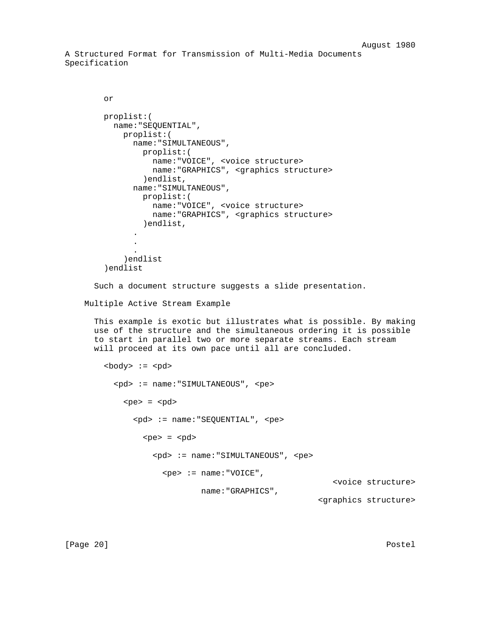#### or

```
 proplist:(
          name:"SEQUENTIAL",
            proplist:(
              name:"SIMULTANEOUS",
                proplist:(
                  name:"VOICE", <voice structure>
                  name:"GRAPHICS", <graphics structure>
                )endlist,
              name:"SIMULTANEOUS",
                proplist:(
                  name:"VOICE", <voice structure>
                  name:"GRAPHICS", <graphics structure>
                )endlist,
 .
 .
 .
             )endlist
        )endlist
      Such a document structure suggests a slide presentation.
    Multiple Active Stream Example
      This example is exotic but illustrates what is possible. By making
      use of the structure and the simultaneous ordering it is possible
      to start in parallel two or more separate streams. Each stream
      will proceed at its own pace until all are concluded.
       <body> := <pd>
          <pd> := name:"SIMULTANEOUS", <pe>
           <pe> = <pd>
              <pd> := name:"SEQUENTIAL", <pe>
               <pe> = <pd>
                  <pd> := name:"SIMULTANEOUS", <pe>
                    <pe> := name:"VOICE",
                                                        <voice structure>
                            name:"GRAPHICS",
```
<graphics structure>

[Page 20] Postel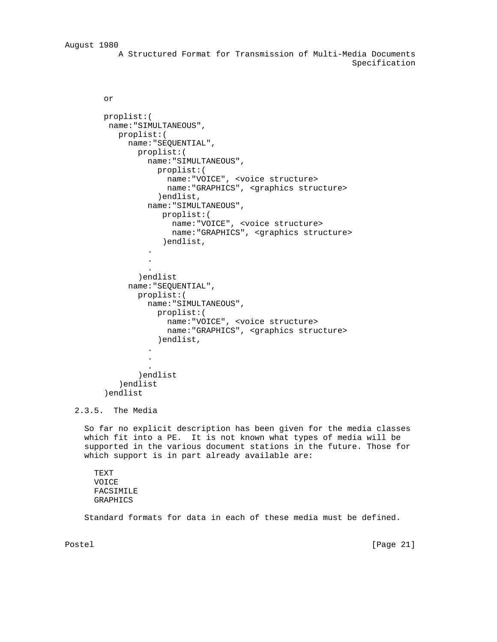```
 or
```

```
 proplist:(
        name:"SIMULTANEOUS",
          proplist:(
            name:"SEQUENTIAL",
              proplist:(
                name:"SIMULTANEOUS",
                  proplist:(
                   name:"VOICE", <voice structure>
                   name:"GRAPHICS", <graphics structure>
                  )endlist,
                name:"SIMULTANEOUS",
                  proplist:(
                    name:"VOICE", <voice structure>
                    name:"GRAPHICS", <graphics structure>
                  )endlist,
 .
 .
 .
              )endlist
            name:"SEQUENTIAL",
              proplist:(
                name:"SIMULTANEOUS",
                 proplist:(
                   name:"VOICE", <voice structure>
                   name:"GRAPHICS", <graphics structure>
                  )endlist,
 .
 .
 .
              )endlist
          )endlist
        )endlist
```
2.3.5. The Media

 So far no explicit description has been given for the media classes which fit into a PE. It is not known what types of media will be supported in the various document stations in the future. Those for which support is in part already available are:

 TEXT VOICE FACSIMILE GRAPHICS

Standard formats for data in each of these media must be defined.

Postel [Page 21]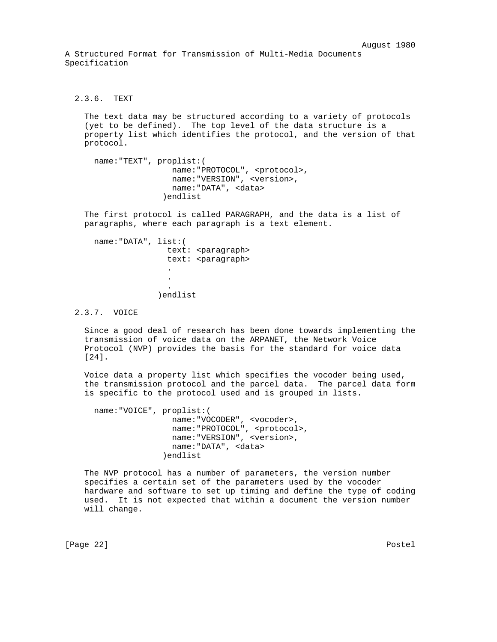```
 2.3.6. TEXT
    The text data may be structured according to a variety of protocols
    (yet to be defined). The top level of the data structure is a
    property list which identifies the protocol, and the version of that
    protocol.
      name:"TEXT", proplist:(
                     name:"PROTOCOL", <protocol>,
                     name:"VERSION", <version>,
                     name:"DATA", <data>
                   )endlist
    The first protocol is called PARAGRAPH, and the data is a list of
    paragraphs, where each paragraph is a text element.
      name:"DATA", list:(
                   text: <paragraph>
                   text: <paragraph>
 .
 .
 .
                  )endlist
```
2.3.7. VOICE

 Since a good deal of research has been done towards implementing the transmission of voice data on the ARPANET, the Network Voice Protocol (NVP) provides the basis for the standard for voice data [24].

 Voice data a property list which specifies the vocoder being used, the transmission protocol and the parcel data. The parcel data form is specific to the protocol used and is grouped in lists.

```
 name:"VOICE", proplist:(
                  name:"VOCODER", <vocoder>,
                 name: "PROTOCOL", <protocol>,
                  name:"VERSION", <version>,
                  name:"DATA", <data>
                )endlist
```
 The NVP protocol has a number of parameters, the version number specifies a certain set of the parameters used by the vocoder hardware and software to set up timing and define the type of coding used. It is not expected that within a document the version number will change.

[Page 22] Postel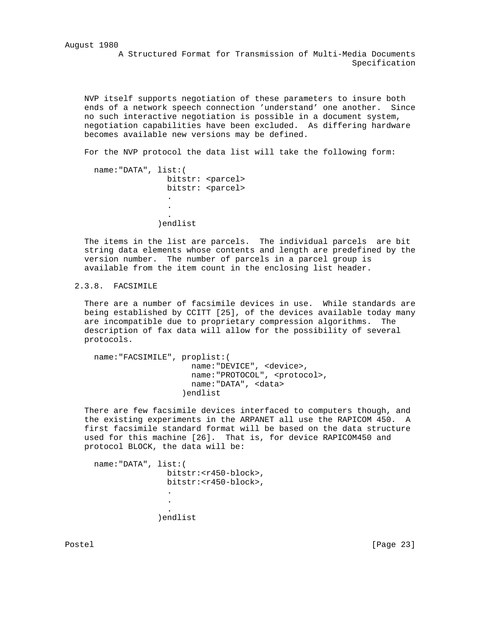NVP itself supports negotiation of these parameters to insure both ends of a network speech connection 'understand' one another. Since no such interactive negotiation is possible in a document system, negotiation capabilities have been excluded. As differing hardware becomes available new versions may be defined.

For the NVP protocol the data list will take the following form:

```
 name:"DATA", list:(
             bitstr: <parcel>
             bitstr: <parcel>
 .
 .
 .
            )endlist
```
 The items in the list are parcels. The individual parcels are bit string data elements whose contents and length are predefined by the version number. The number of parcels in a parcel group is available from the item count in the enclosing list header.

# 2.3.8. FACSIMILE

 There are a number of facsimile devices in use. While standards are being established by CCITT [25], of the devices available today many are incompatible due to proprietary compression algorithms. The description of fax data will allow for the possibility of several protocols.

 name:"FACSIMILE", proplist:( name:"DEVICE", <device>, name: "PROTOCOL", <protocol>, name:"DATA", <data> )endlist

 There are few facsimile devices interfaced to computers though, and the existing experiments in the ARPANET all use the RAPICOM 450. A first facsimile standard format will be based on the data structure used for this machine [26]. That is, for device RAPICOM450 and protocol BLOCK, the data will be:

```
 name:"DATA", list:(
             bitstr:<r450-block>,
             bitstr:<r450-block>,
 .
 .
 .
            )endlist
```
Postel [Page 23]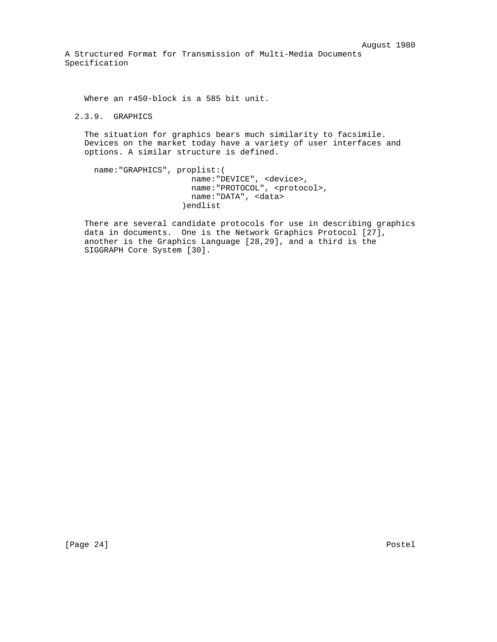Where an r450-block is a 585 bit unit.

2.3.9. GRAPHICS

 The situation for graphics bears much similarity to facsimile. Devices on the market today have a variety of user interfaces and options. A similar structure is defined.

 name:"GRAPHICS", proplist:( name:"DEVICE", <device>, name:"PROTOCOL", <protocol>, name:"DATA", <data> )endlist

 There are several candidate protocols for use in describing graphics data in documents. One is the Network Graphics Protocol [27], another is the Graphics Language [28,29], and a third is the SIGGRAPH Core System [30].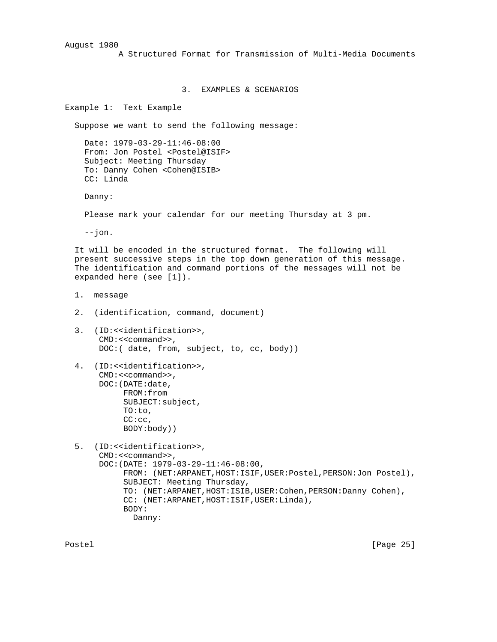August 1980 A Structured Format for Transmission of Multi-Media Documents 3. EXAMPLES & SCENARIOS Example 1: Text Example Suppose we want to send the following message: Date: 1979-03-29-11:46-08:00 From: Jon Postel <Postel@ISIF> Subject: Meeting Thursday To: Danny Cohen <Cohen@ISIB> CC: Linda Danny: Please mark your calendar for our meeting Thursday at 3 pm.  $--$ jon. It will be encoded in the structured format. The following will present successive steps in the top down generation of this message. The identification and command portions of the messages will not be expanded here (see [1]). 1. message 2. (identification, command, document) 3. (ID:<<identification>>, CMD:<<command>>, DOC:( date, from, subject, to, cc, body)) 4. (ID:<<identification>>, CMD:<<command>>, DOC:(DATE:date, FROM:from SUBJECT:subject, TO:to, CC:cc, BODY:body)) 5. (ID:<<identification>>, CMD:<<command>>, DOC:(DATE: 1979-03-29-11:46-08:00, FROM: (NET:ARPANET,HOST:ISIF,USER:Postel,PERSON:Jon Postel), SUBJECT: Meeting Thursday, TO: (NET:ARPANET,HOST:ISIB,USER:Cohen,PERSON:Danny Cohen), CC: (NET:ARPANET,HOST:ISIF,USER:Linda), BODY: Danny:

Postel [Page 25]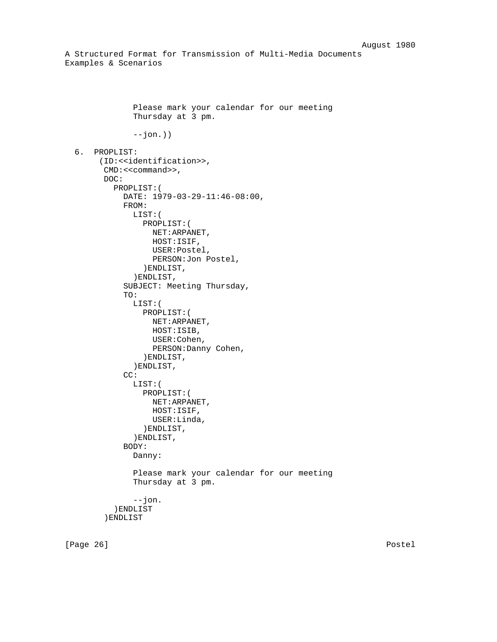Please mark your calendar for our meeting Thursday at 3 pm.  $--jon.$ ) 6. PROPLIST: (ID:<<identification>>, CMD:<<command>>, DOC: PROPLIST:( DATE: 1979-03-29-11:46-08:00, FROM: LIST:( PROPLIST:( NET:ARPANET, HOST:ISIF, USER:Postel, PERSON:Jon Postel, )ENDLIST, )ENDLIST, SUBJECT: Meeting Thursday, TO: LIST:( PROPLIST:( NET:ARPANET, HOST:ISIB, USER:Cohen, PERSON:Danny Cohen, )ENDLIST, )ENDLIST, CC: LIST:( PROPLIST:( NET:ARPANET, HOST:ISIF, USER:Linda, )ENDLIST, )ENDLIST, BODY: Danny: Please mark your calendar for our meeting Thursday at 3 pm. --jon. )ENDLIST )ENDLIST

[Page 26] Postel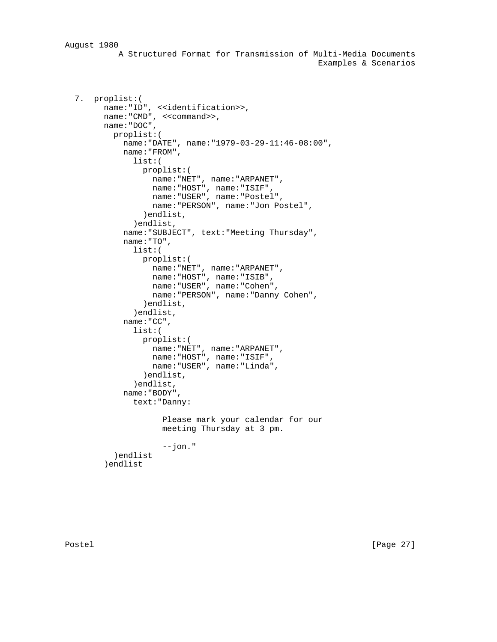August 1980 A Structured Format for Transmission of Multi-Media Documents Examples & Scenarios

```
 7. proplist:(
       name: "ID", <<identification>>,
       name: "CMD", << command>>,
        name:"DOC",
          proplist:(
            name:"DATE", name:"1979-03-29-11:46-08:00",
            name:"FROM",
               list:(
                 proplist:(
                   name:"NET", name:"ARPANET",
 name:"HOST", name:"ISIF",
 name:"USER", name:"Postel",
                  name:"PERSON", name:"Jon Postel",
                 )endlist,
               )endlist,
            name:"SUBJECT", text:"Meeting Thursday",
             name:"TO",
               list:(
                 proplist:(
                   name:"NET", name:"ARPANET",
                  name:"HOST", name:"ISIB",
                  name:"USER", name:"Cohen",
                  name:"PERSON", name:"Danny Cohen",
                 )endlist,
               )endlist,
            name:"CC",
               list:(
                 proplist:(
                   name:"NET", name:"ARPANET",
                  name:"HOST", name:"ISIF",
                  name:"USER", name:"Linda",
                 )endlist,
               )endlist,
            name:"BODY",
               text:"Danny:
                     Please mark your calendar for our
                     meeting Thursday at 3 pm.
                    --jon."
           )endlist
         )endlist
```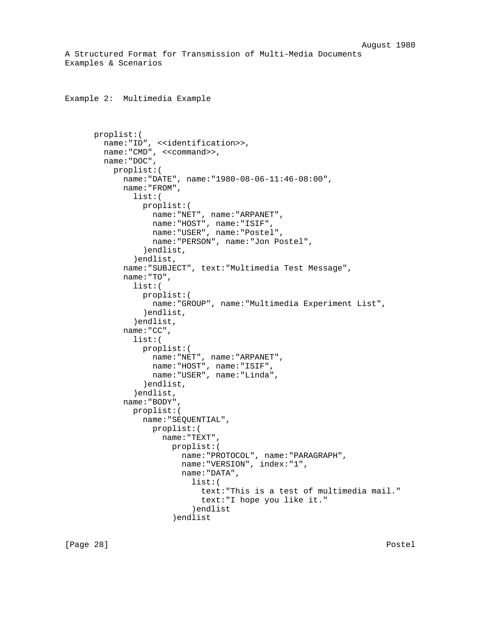```
A Structured Format for Transmission of Multi-Media Documents
Examples & Scenarios
```

```
Example 2: Multimedia Example
       proplist:(
        name: "ID", <<identification>>,
        name: "CMD", << command>>,
         name:"DOC",
           proplist:(
             name:"DATE", name:"1980-08-06-11:46-08:00",
             name:"FROM",
                list:(
                  proplist:(
                    name:"NET", name:"ARPANET",
                    name:"HOST", name:"ISIF",
                    name:"USER", name:"Postel",
                   name:"PERSON", name:"Jon Postel",
                  )endlist,
                )endlist,
             name:"SUBJECT", text:"Multimedia Test Message",
             name:"TO",
                list:(
                  proplist:(
                   name:"GROUP", name:"Multimedia Experiment List",
                  )endlist,
                )endlist,
             name:"CC",
                list:(
                  proplist:(
                    name:"NET", name:"ARPANET",
                    name:"HOST", name:"ISIF",
                   name:"USER", name:"Linda",
                  )endlist,
                )endlist,
             name:"BODY",
                proplist:(
                  name:"SEQUENTIAL",
                    proplist:(
                      name:"TEXT",
                        proplist:(
                          name:"PROTOCOL", name:"PARAGRAPH",
                          name:"VERSION", index:"1",
                          name:"DATA",
                            list:(
                               text:"This is a test of multimedia mail."
                              text:"I hope you like it."
                             )endlist
                        )endlist
```
[Page 28] Postel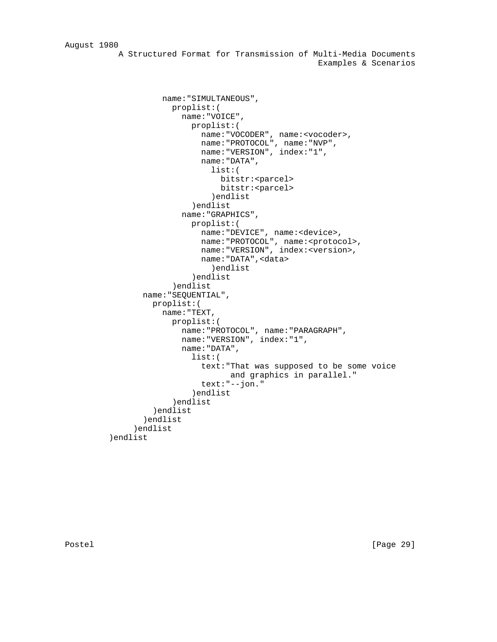August 1980 A Structured Format for Transmission of Multi-Media Documents Examples & Scenarios

```
 name:"SIMULTANEOUS",
              proplist:(
                name:"VOICE",
                   proplist:(
                     name:"VOCODER", name:<vocoder>,
                     name:"PROTOCOL", name:"NVP",
                    name:"VERSION", index:"1",
                    name:"DATA",
                       list:(
                         bitstr:<parcel>
                         bitstr:<parcel>
                       )endlist
                   )endlist
                name:"GRAPHICS",
                   proplist:(
                    name:"DEVICE", name:<device>,
                     name:"PROTOCOL", name:<protocol>,
                    name:"VERSION", index:<version>,
                    name:"DATA",<data>
                       )endlist
                   )endlist
              )endlist
        name:"SEQUENTIAL",
          proplist:(
            name:"TEXT,
              proplist:(
                name:"PROTOCOL", name:"PARAGRAPH",
                name:"VERSION", index:"1",
                name:"DATA",
                   list:(
                     text:"That was supposed to be some voice
                           and graphics in parallel."
                     text:"--jon."
                   )endlist
              )endlist
          )endlist
        )endlist
      )endlist
 )endlist
```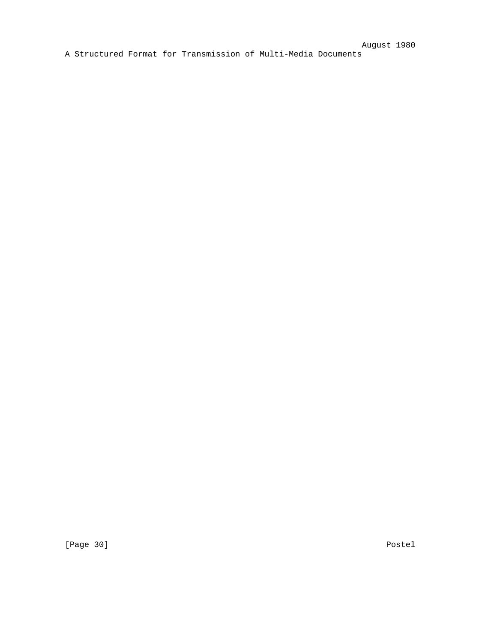[Page 30] Postel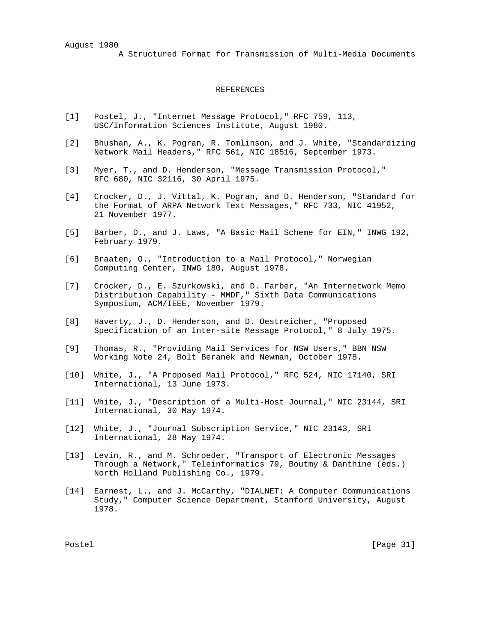## REFERENCES

- [1] Postel, J., "Internet Message Protocol," RFC 759, 113, USC/Information Sciences Institute, August 1980.
- [2] Bhushan, A., K. Pogran, R. Tomlinson, and J. White, "Standardizing Network Mail Headers," RFC 561, NIC 18516, September 1973.
- [3] Myer, T., and D. Henderson, "Message Transmission Protocol," RFC 680, NIC 32116, 30 April 1975.
- [4] Crocker, D., J. Vittal, K. Pogran, and D. Henderson, "Standard for the Format of ARPA Network Text Messages," RFC 733, NIC 41952, 21 November 1977.
- [5] Barber, D., and J. Laws, "A Basic Mail Scheme for EIN," INWG 192, February 1979.
- [6] Braaten, O., "Introduction to a Mail Protocol," Norwegian Computing Center, INWG 180, August 1978.
- [7] Crocker, D., E. Szurkowski, and D. Farber, "An Internetwork Memo Distribution Capability - MMDF," Sixth Data Communications Symposium, ACM/IEEE, November 1979.
- [8] Haverty, J., D. Henderson, and D. Oestreicher, "Proposed Specification of an Inter-site Message Protocol," 8 July 1975.
- [9] Thomas, R., "Providing Mail Services for NSW Users," BBN NSW Working Note 24, Bolt Beranek and Newman, October 1978.
- [10] White, J., "A Proposed Mail Protocol," RFC 524, NIC 17140, SRI International, 13 June 1973.
- [11] White, J., "Description of a Multi-Host Journal," NIC 23144, SRI International, 30 May 1974.
- [12] White, J., "Journal Subscription Service," NIC 23143, SRI International, 28 May 1974.
- [13] Levin, R., and M. Schroeder, "Transport of Electronic Messages Through a Network," Teleinformatics 79, Boutmy & Danthine (eds.) North Holland Publishing Co., 1979.
- [14] Earnest, L., and J. McCarthy, "DIALNET: A Computer Communications Study," Computer Science Department, Stanford University, August 1978.

Postel [Page 31]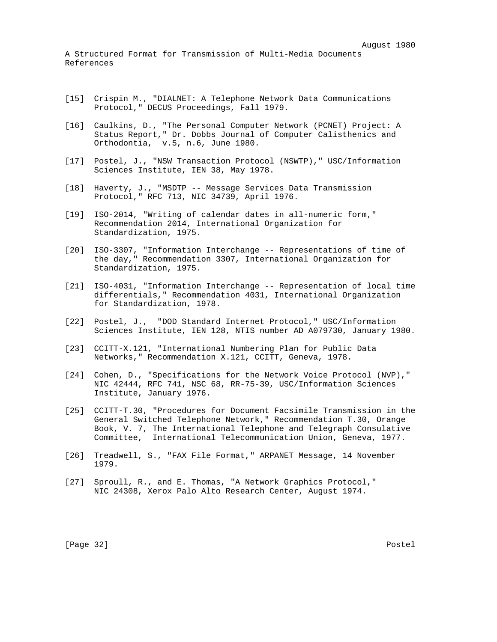- [15] Crispin M., "DIALNET: A Telephone Network Data Communications Protocol," DECUS Proceedings, Fall 1979.
- [16] Caulkins, D., "The Personal Computer Network (PCNET) Project: A Status Report," Dr. Dobbs Journal of Computer Calisthenics and Orthodontia, v.5, n.6, June 1980.
- [17] Postel, J., "NSW Transaction Protocol (NSWTP)," USC/Information Sciences Institute, IEN 38, May 1978.
- [18] Haverty, J., "MSDTP -- Message Services Data Transmission Protocol," RFC 713, NIC 34739, April 1976.
- [19] ISO-2014, "Writing of calendar dates in all-numeric form," Recommendation 2014, International Organization for Standardization, 1975.
- [20] ISO-3307, "Information Interchange -- Representations of time of the day," Recommendation 3307, International Organization for Standardization, 1975.
- [21] ISO-4031, "Information Interchange -- Representation of local time differentials," Recommendation 4031, International Organization for Standardization, 1978.
- [22] Postel, J., "DOD Standard Internet Protocol," USC/Information Sciences Institute, IEN 128, NTIS number AD A079730, January 1980.
- [23] CCITT-X.121, "International Numbering Plan for Public Data Networks," Recommendation X.121, CCITT, Geneva, 1978.
- [24] Cohen, D., "Specifications for the Network Voice Protocol (NVP)," NIC 42444, RFC 741, NSC 68, RR-75-39, USC/Information Sciences Institute, January 1976.
- [25] CCITT-T.30, "Procedures for Document Facsimile Transmission in the General Switched Telephone Network," Recommendation T.30, Orange Book, V. 7, The International Telephone and Telegraph Consulative Committee, International Telecommunication Union, Geneva, 1977.
- [26] Treadwell, S., "FAX File Format," ARPANET Message, 14 November 1979.
- [27] Sproull, R., and E. Thomas, "A Network Graphics Protocol," NIC 24308, Xerox Palo Alto Research Center, August 1974.

[Page 32] Postel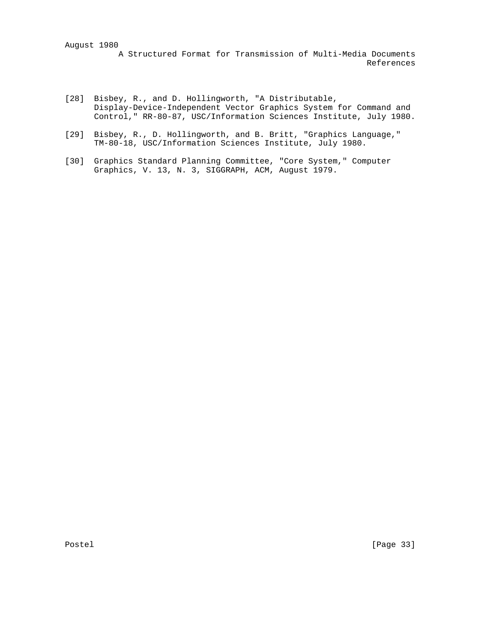- [28] Bisbey, R., and D. Hollingworth, "A Distributable, Display-Device-Independent Vector Graphics System for Command and Control," RR-80-87, USC/Information Sciences Institute, July 1980.
- [29] Bisbey, R., D. Hollingworth, and B. Britt, "Graphics Language," TM-80-18, USC/Information Sciences Institute, July 1980.
- [30] Graphics Standard Planning Committee, "Core System," Computer Graphics, V. 13, N. 3, SIGGRAPH, ACM, August 1979.